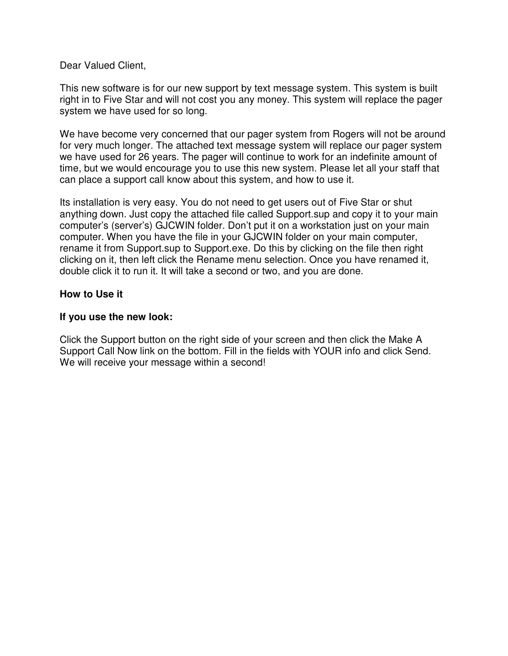Dear Valued Client,

This new software is for our new support by text message system. This system is built right in to Five Star and will not cost you any money. This system will replace the pager system we have used for so long.

We have become very concerned that our pager system from Rogers will not be around for very much longer. The attached text message system will replace our pager system we have used for 26 years. The pager will continue to work for an indefinite amount of time, but we would encourage you to use this new system. Please let all your staff that can place a support call know about this system, and how to use it.

Its installation is very easy. You do not need to get users out of Five Star or shut anything down. Just copy the attached file called Support.sup and copy it to your main computer's (server's) GJCWIN folder. Don't put it on a workstation just on your main computer. When you have the file in your GJCWIN folder on your main computer, rename it from Support.sup to Support.exe. Do this by clicking on the file then right clicking on it, then left click the Rename menu selection. Once you have renamed it, double click it to run it. It will take a second or two, and you are done.

## **How to Use it**

## **If you use the new look:**

Click the Support button on the right side of your screen and then click the Make A Support Call Now link on the bottom. Fill in the fields with YOUR info and click Send. We will receive your message within a second!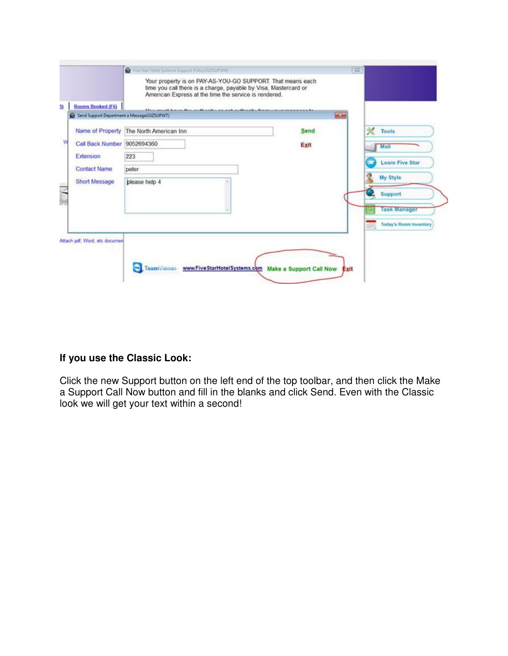| <b>Rooms Booked (F6)</b>                    | time you call there is a charge, payable by Visa, Mastercard or<br>American Express at the time the service is rendered.<br>Meanweal know the authority and collectible distinctive consequences in |            |                              |
|---------------------------------------------|-----------------------------------------------------------------------------------------------------------------------------------------------------------------------------------------------------|------------|------------------------------|
| Send Support Department a Message(GIZSUPWT) |                                                                                                                                                                                                     | <b>WCC</b> |                              |
|                                             | Name of Property The North American Inn                                                                                                                                                             | Send       | 光<br>Tools                   |
| Call Back Number 9052694360                 |                                                                                                                                                                                                     | Exit       | Mail                         |
| Extension                                   | 223                                                                                                                                                                                                 |            |                              |
| <b>Contact Name</b>                         | peter                                                                                                                                                                                               |            | <b>Learn Five Star</b>       |
| Short Message                               | please help 4                                                                                                                                                                                       |            | My Style                     |
|                                             |                                                                                                                                                                                                     |            | Support                      |
|                                             |                                                                                                                                                                                                     |            | <b>Task Manager</b>          |
|                                             |                                                                                                                                                                                                     |            |                              |
|                                             |                                                                                                                                                                                                     |            | Today's Room Inventory<br>胡琪 |
| Attach pdf, Word, etc documen               |                                                                                                                                                                                                     |            |                              |
|                                             |                                                                                                                                                                                                     |            |                              |

## **If you use the Classic Look:**

Click the new Support button on the left end of the top toolbar, and then click the Make a Support Call Now button and fill in the blanks and click Send. Even with the Classic look we will get your text within a second!